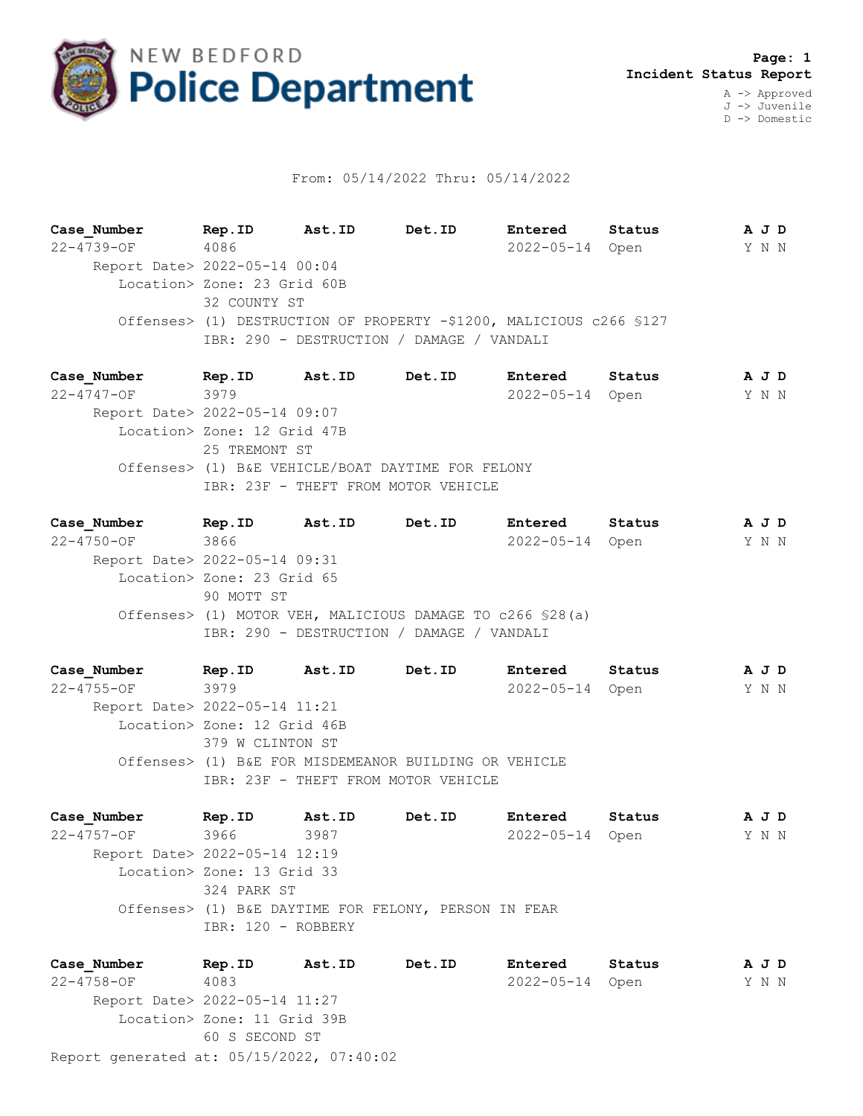

## From: 05/14/2022 Thru: 05/14/2022

**Case\_Number Rep.ID Ast.ID Det.ID Entered Status A J D** 22-4739-OF 4086 2022-05-14 Open Y N N Report Date> 2022-05-14 00:04 Location> Zone: 23 Grid 60B 32 COUNTY ST Offenses> (1) DESTRUCTION OF PROPERTY -\$1200, MALICIOUS c266 §127 IBR: 290 - DESTRUCTION / DAMAGE / VANDALI

**Case\_Number Rep.ID Ast.ID Det.ID Entered Status A J D** 22-4747-OF 3979 2022-05-14 Open Y N N Report Date> 2022-05-14 09:07 Location> Zone: 12 Grid 47B 25 TREMONT ST Offenses> (1) B&E VEHICLE/BOAT DAYTIME FOR FELONY IBR: 23F - THEFT FROM MOTOR VEHICLE

**Case\_Number Rep.ID Ast.ID Det.ID Entered Status A J D** 22-4750-OF 3866 2022-05-14 Open Y N N Report Date> 2022-05-14 09:31 Location> Zone: 23 Grid 65 90 MOTT ST Offenses> (1) MOTOR VEH, MALICIOUS DAMAGE TO c266 §28(a) IBR: 290 - DESTRUCTION / DAMAGE / VANDALI

**Case\_Number Rep.ID Ast.ID Det.ID Entered Status A J D** 22-4755-OF 3979 2022-05-14 Open Y N N Report Date> 2022-05-14 11:21 Location> Zone: 12 Grid 46B 379 W CLINTON ST Offenses> (1) B&E FOR MISDEMEANOR BUILDING OR VEHICLE IBR: 23F - THEFT FROM MOTOR VEHICLE

**Case\_Number Rep.ID Ast.ID Det.ID Entered Status A J D** 22-4757-OF 3966 3987 2022-05-14 Open Y N N Report Date> 2022-05-14 12:19 Location> Zone: 13 Grid 33 324 PARK ST Offenses> (1) B&E DAYTIME FOR FELONY, PERSON IN FEAR IBR: 120 - ROBBERY

Report generated at: 05/15/2022, 07:40:02 **Case\_Number Rep.ID Ast.ID Det.ID Entered Status A J D** 22-4758-OF 4083 2022-05-14 Open Y N N Report Date> 2022-05-14 11:27 Location> Zone: 11 Grid 39B 60 S SECOND ST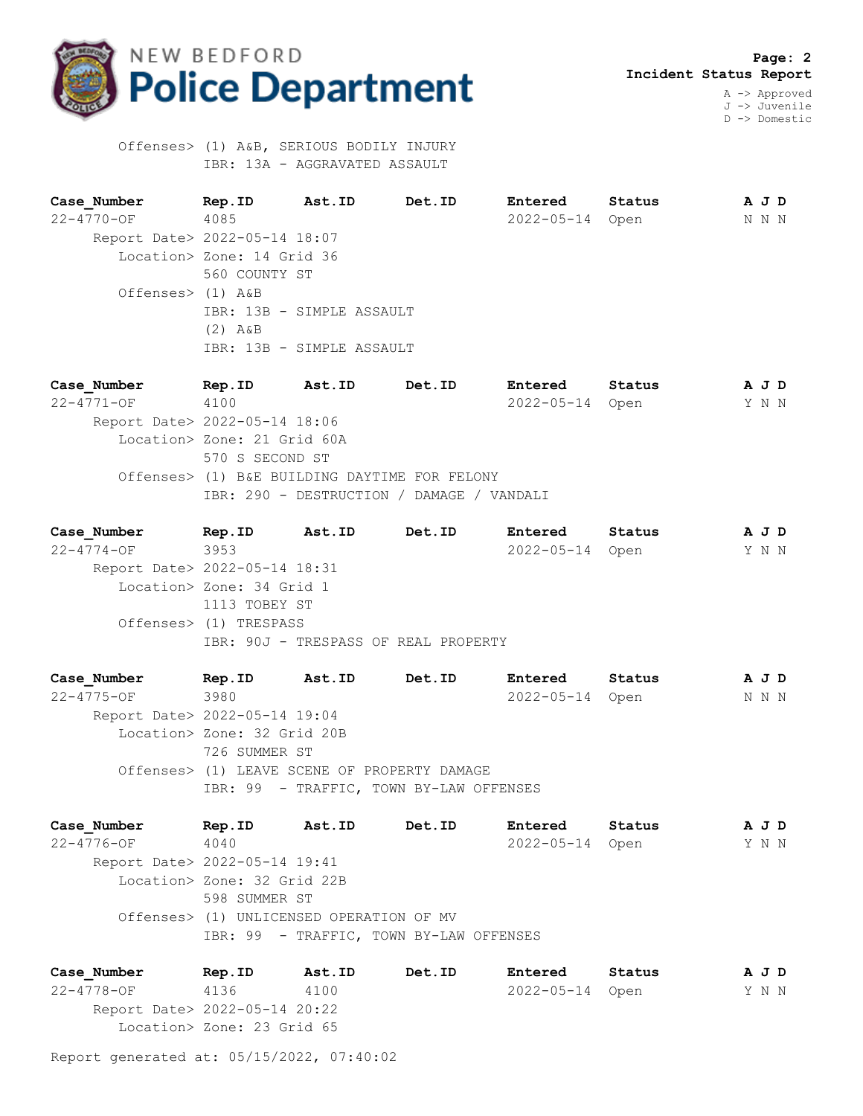

D -> Domestic

 Offenses> (1) A&B, SERIOUS BODILY INJURY IBR: 13A - AGGRAVATED ASSAULT

**Case\_Number Rep.ID Ast.ID Det.ID Entered Status A J D** 22-4770-OF 4085 2022-05-14 Open N N N Report Date> 2022-05-14 18:07 Location> Zone: 14 Grid 36 560 COUNTY ST Offenses> (1) A&B IBR: 13B - SIMPLE ASSAULT (2) A&B IBR: 13B - SIMPLE ASSAULT

**Case\_Number Rep.ID Ast.ID Det.ID Entered Status A J D** 22-4771-OF 4100 2022-05-14 Open Y N N Report Date> 2022-05-14 18:06 Location> Zone: 21 Grid 60A 570 S SECOND ST Offenses> (1) B&E BUILDING DAYTIME FOR FELONY IBR: 290 - DESTRUCTION / DAMAGE / VANDALI

**Case\_Number Rep.ID Ast.ID Det.ID Entered Status A J D** 22-4774-OF 3953 2022-05-14 Open Y N N Report Date> 2022-05-14 18:31 Location> Zone: 34 Grid 1 1113 TOBEY ST Offenses> (1) TRESPASS IBR: 90J - TRESPASS OF REAL PROPERTY

**Case\_Number Rep.ID Ast.ID Det.ID Entered Status A J D** 22-4775-OF 3980 2022-05-14 Open N N N Report Date> 2022-05-14 19:04 Location> Zone: 32 Grid 20B 726 SUMMER ST Offenses> (1) LEAVE SCENE OF PROPERTY DAMAGE IBR: 99 - TRAFFIC, TOWN BY-LAW OFFENSES

**Case\_Number Rep.ID Ast.ID Det.ID Entered Status A J D** 22-4776-OF 4040 2022-05-14 Open Y N N Report Date> 2022-05-14 19:41 Location> Zone: 32 Grid 22B 598 SUMMER ST Offenses> (1) UNLICENSED OPERATION OF MV IBR: 99 - TRAFFIC, TOWN BY-LAW OFFENSES

**Case\_Number Rep.ID Ast.ID Det.ID Entered Status A J D** 22-4778-OF 4136 4100 2022-05-14 Open Y N N Report Date> 2022-05-14 20:22 Location> Zone: 23 Grid 65

Report generated at: 05/15/2022, 07:40:02